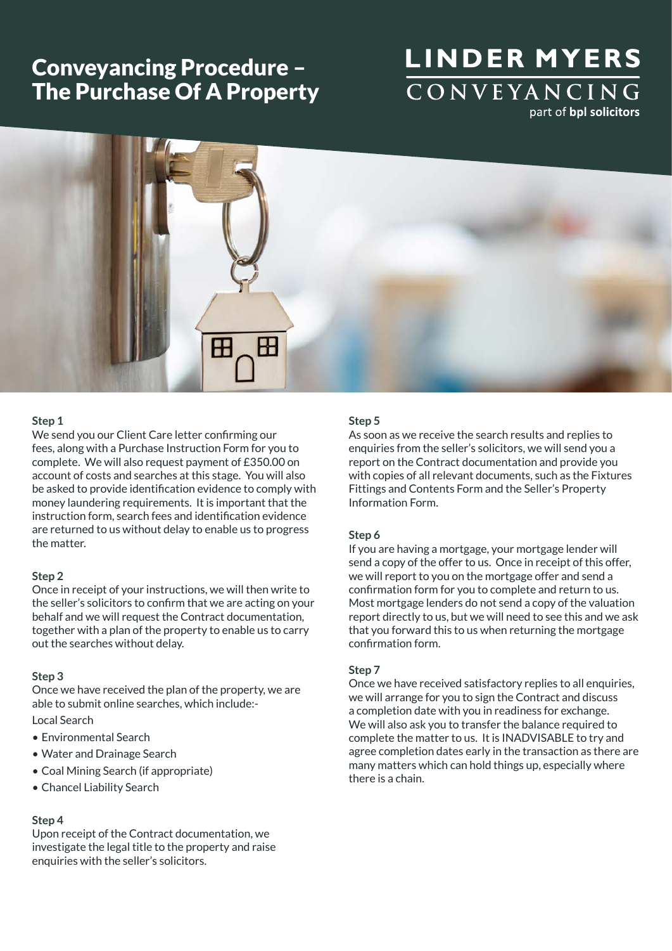## Conveyancing Procedure – The Purchase Of A Property

# **LINDER MYERS** CONVEYANCING part of bpl solicitors



### **Step 1**

We send you our Client Care letter confirming our fees, along with a Purchase Instruction Form for you to complete. We will also request payment of £350.00 on account of costs and searches at this stage. You will also be asked to provide identification evidence to comply with money laundering requirements. It is important that the instruction form, search fees and identification evidence are returned to us without delay to enable us to progress the matter.

### **Step 2**

Once in receipt of your instructions, we will then write to the seller's solicitors to confirm that we are acting on your behalf and we will request the Contract documentation, together with a plan of the property to enable us to carry out the searches without delay.

### **Step 3**

Once we have received the plan of the property, we are able to submit online searches, which include:-

### Local Search

- Environmental Search
- Water and Drainage Search
- Coal Mining Search (if appropriate)
- Chancel Liability Search

### **Step 4**

Upon receipt of the Contract documentation, we investigate the legal title to the property and raise enquiries with the seller's solicitors.

### **Step 5**

As soon as we receive the search results and replies to enquiries from the seller's solicitors, we will send you a report on the Contract documentation and provide you with copies of all relevant documents, such as the Fixtures Fittings and Contents Form and the Seller's Property Information Form.

### **Step 6**

If you are having a mortgage, your mortgage lender will send a copy of the offer to us. Once in receipt of this offer, we will report to you on the mortgage offer and send a confirmation form for you to complete and return to us. Most mortgage lenders do not send a copy of the valuation report directly to us, but we will need to see this and we ask that you forward this to us when returning the mortgage confirmation form.

#### **Step 7**

Once we have received satisfactory replies to all enquiries, we will arrange for you to sign the Contract and discuss a completion date with you in readiness for exchange. We will also ask you to transfer the balance required to complete the matter to us. It is INADVISABLE to try and agree completion dates early in the transaction as there are many matters which can hold things up, especially where there is a chain.